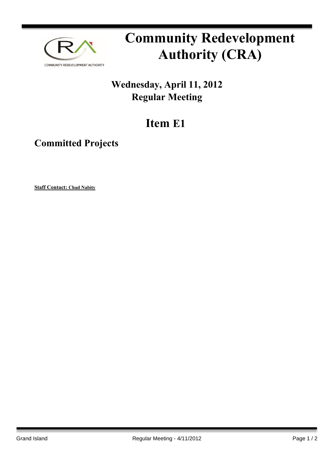

## **Community Redevelopment Authority (CRA)**

## **Wednesday, April 11, 2012 Regular Meeting**

## **Item E1**

## **Committed Projects**

**Staff Contact: Chad Nabity**